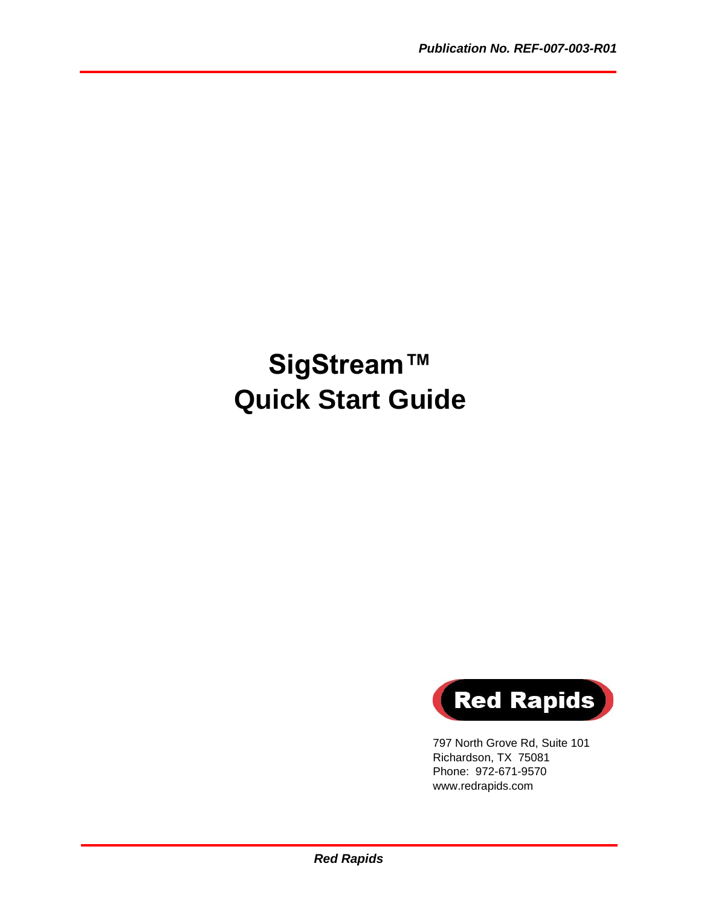# **SigStream™ Quick Start Guide**



797 North Grove Rd, Suite 101 Richardson, TX 75081 Phone: 972-671-9570 www.redrapids.com

*Red Rapids*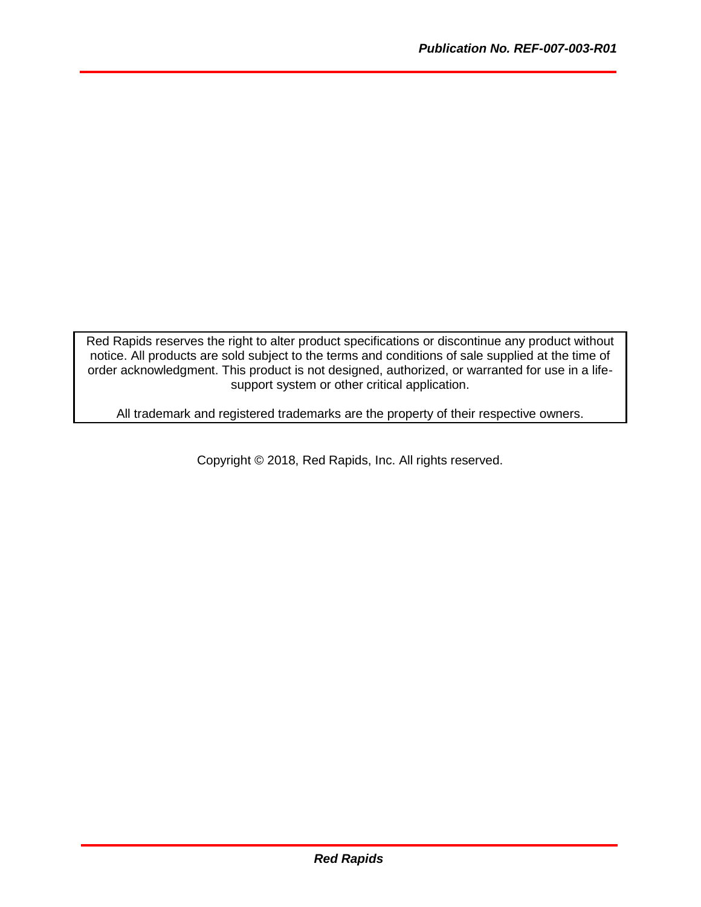Red Rapids reserves the right to alter product specifications or discontinue any product without notice. All products are sold subject to the terms and conditions of sale supplied at the time of order acknowledgment. This product is not designed, authorized, or warranted for use in a lifesupport system or other critical application.

All trademark and registered trademarks are the property of their respective owners.

Copyright © 2018, Red Rapids, Inc. All rights reserved.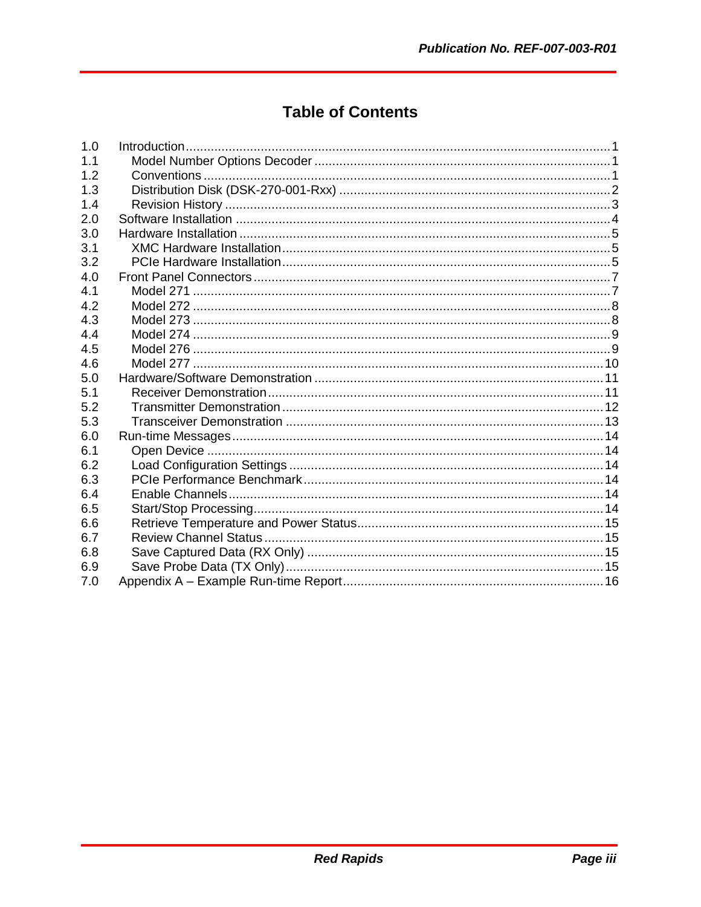## **Table of Contents**

| 1.0 |  |
|-----|--|
| 1.1 |  |
| 1.2 |  |
| 1.3 |  |
| 1.4 |  |
| 2.0 |  |
| 3.0 |  |
| 3.1 |  |
| 3.2 |  |
| 4.0 |  |
| 4.1 |  |
| 4.2 |  |
| 4.3 |  |
| 4.4 |  |
| 4.5 |  |
| 4.6 |  |
| 5.0 |  |
| 5.1 |  |
| 5.2 |  |
| 5.3 |  |
| 6.0 |  |
| 6.1 |  |
| 6.2 |  |
| 6.3 |  |
| 6.4 |  |
| 6.5 |  |
| 6.6 |  |
| 6.7 |  |
| 6.8 |  |
| 6.9 |  |
| 7.0 |  |
|     |  |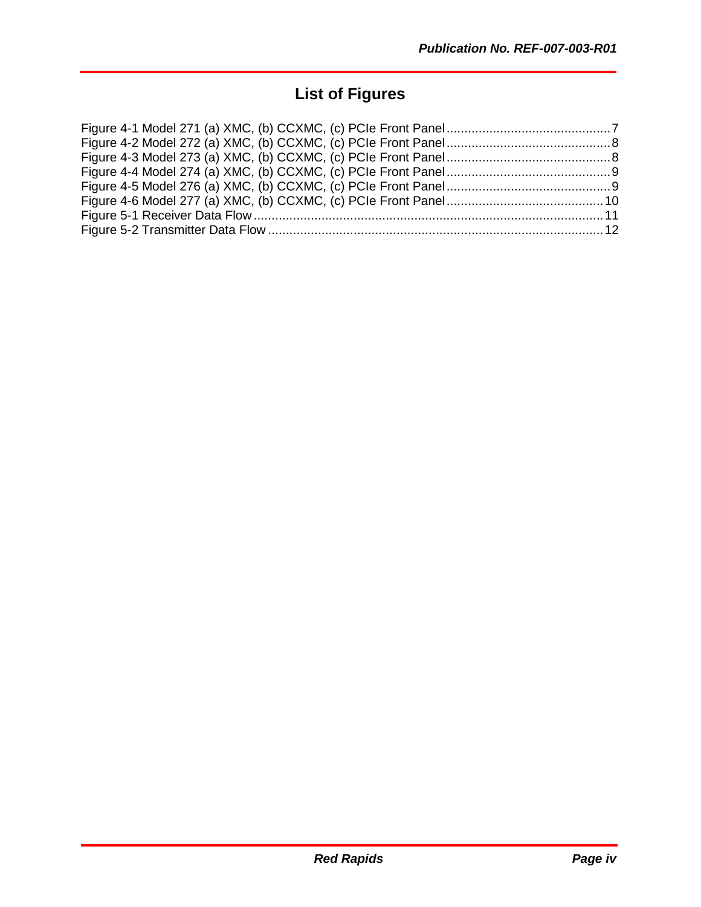## **List of Figures**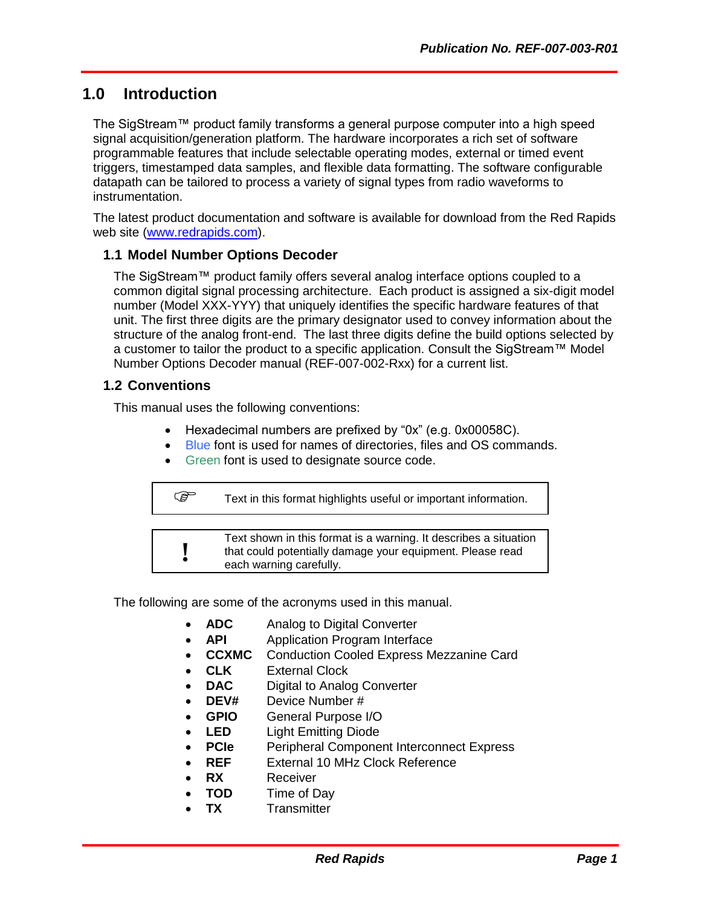## <span id="page-4-0"></span>**1.0 Introduction**

The SigStream™ product family transforms a general purpose computer into a high speed signal acquisition/generation platform. The hardware incorporates a rich set of software programmable features that include selectable operating modes, external or timed event triggers, timestamped data samples, and flexible data formatting. The software configurable datapath can be tailored to process a variety of signal types from radio waveforms to instrumentation.

The latest product documentation and software is available for download from the Red Rapids web site [\(www.redrapids.com\)](http://www.redrapids.com/).

#### <span id="page-4-1"></span>**1.1 Model Number Options Decoder**

The SigStream™ product family offers several analog interface options coupled to a common digital signal processing architecture. Each product is assigned a six-digit model number (Model XXX-YYY) that uniquely identifies the specific hardware features of that unit. The first three digits are the primary designator used to convey information about the structure of the analog front-end. The last three digits define the build options selected by a customer to tailor the product to a specific application. Consult the SigStream™ Model Number Options Decoder manual (REF-007-002-Rxx) for a current list.

#### <span id="page-4-2"></span>**1.2 Conventions**

This manual uses the following conventions:

- Hexadecimal numbers are prefixed by "0x" (e.g. 0x00058C).
- Blue font is used for names of directories, files and OS commands.
- Green font is used to designate source code.

Text in this format highlights useful or important information.

**!** Text shown in this format is a warning. It describes a situation that could potentially damage your equipment. Please read each warning carefully.

The following are some of the acronyms used in this manual.

- **ADC** Analog to Digital Converter
- **API** Application Program Interface
- **CCXMC** Conduction Cooled Express Mezzanine Card
- **CLK** External Clock
- **DAC** Digital to Analog Converter
- **DEV#** Device Number #
- **GPIO** General Purpose I/O
- **LED** Light Emitting Diode
- **PCIe** Peripheral Component Interconnect Express
- **REF** External 10 MHz Clock Reference
- **RX** Receiver
- **TOD** Time of Day
- **TX** Transmitter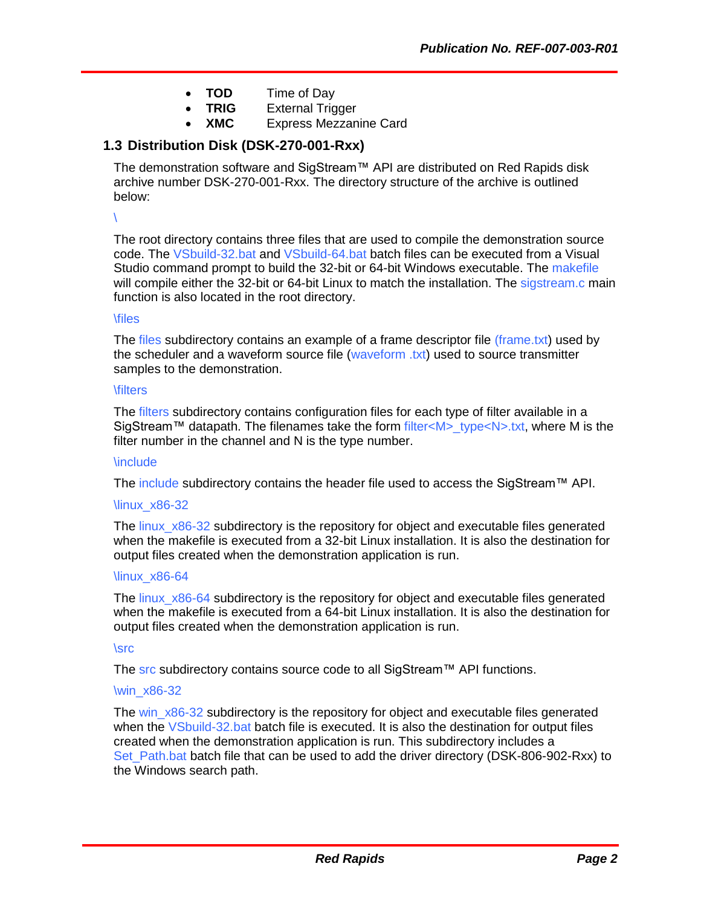- **TOD** Time of Day
	- **TRIG** External Trigger
- **XMC** Express Mezzanine Card

#### <span id="page-5-0"></span>**1.3 Distribution Disk (DSK-270-001-Rxx)**

The demonstration software and SigStream™ API are distributed on Red Rapids disk archive number DSK-270-001-Rxx. The directory structure of the archive is outlined below:

\

The root directory contains three files that are used to compile the demonstration source code. The VSbuild-32.bat and VSbuild-64.bat batch files can be executed from a Visual Studio command prompt to build the 32-bit or 64-bit Windows executable. The makefile will compile either the 32-bit or 64-bit Linux to match the installation. The sigstream.c main function is also located in the root directory.

#### \files

The files subdirectory contains an example of a frame descriptor file (frame.txt) used by the scheduler and a waveform source file (waveform .txt) used to source transmitter samples to the demonstration.

#### **\filters**

The filters subdirectory contains configuration files for each type of filter available in a SigStream™ datapath. The filenames take the form filter<M> $>$  type<N>.txt, where M is the filter number in the channel and N is the type number.

#### **\include**

The include subdirectory contains the header file used to access the SigStream™ API.

#### \linux\_x86-32

The linux\_x86-32 subdirectory is the repository for object and executable files generated when the makefile is executed from a 32-bit Linux installation. It is also the destination for output files created when the demonstration application is run.

#### \linux\_x86-64

The linux  $x86-64$  subdirectory is the repository for object and executable files generated when the makefile is executed from a 64-bit Linux installation. It is also the destination for output files created when the demonstration application is run.

#### \src

The src subdirectory contains source code to all SigStream™ API functions.

#### \win\_x86-32

The win\_x86-32 subdirectory is the repository for object and executable files generated when the VSbuild-32 bat batch file is executed. It is also the destination for output files created when the demonstration application is run. This subdirectory includes a Set Path.bat batch file that can be used to add the driver directory (DSK-806-902-Rxx) to the Windows search path.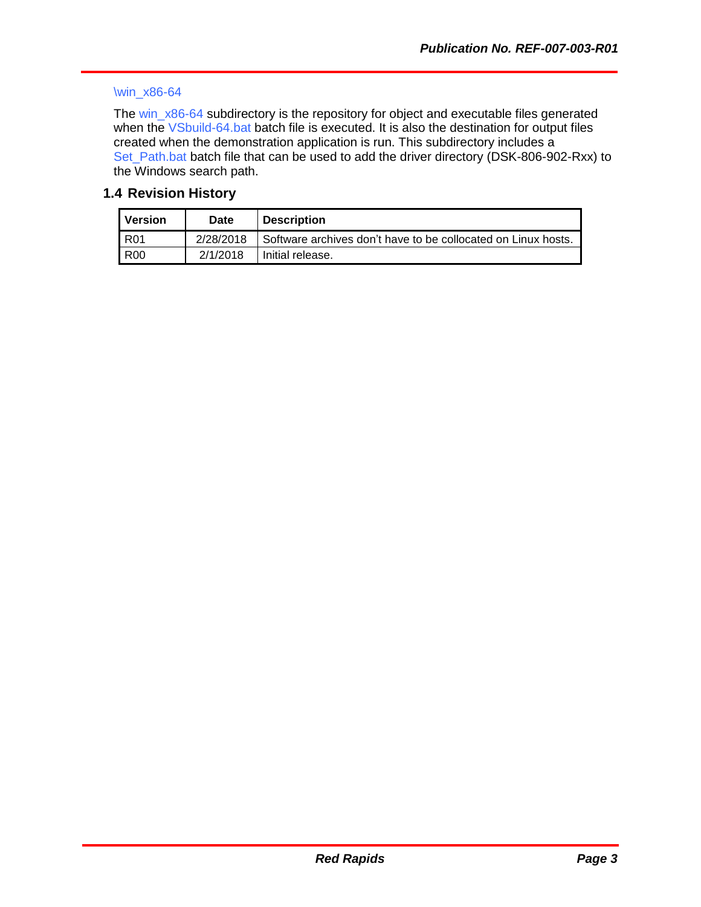#### \win\_x86-64

The win\_x86-64 subdirectory is the repository for object and executable files generated when the VSbuild-64 bat batch file is executed. It is also the destination for output files created when the demonstration application is run. This subdirectory includes a Set\_Path.bat batch file that can be used to add the driver directory (DSK-806-902-Rxx) to the Windows search path.

#### <span id="page-6-0"></span>**1.4 Revision History**

| Version    | Date      | <b>Description</b>                                              |
|------------|-----------|-----------------------------------------------------------------|
| R01        | 2/28/2018 | I Software archives don't have to be collocated on Linux hosts. |
| <b>R00</b> | 2/1/2018  | Initial release.                                                |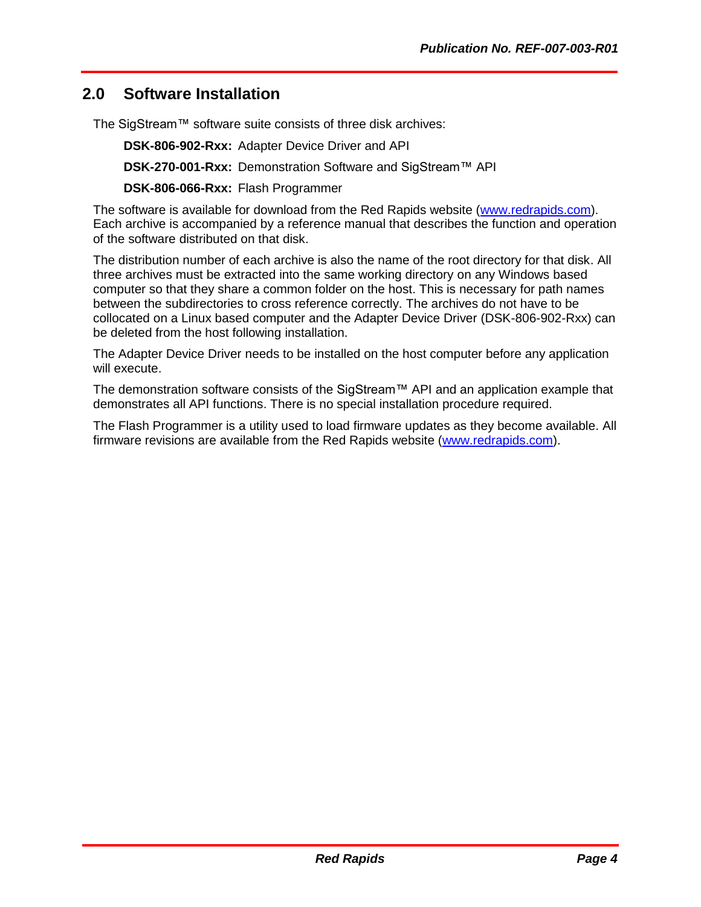## <span id="page-7-0"></span>**2.0 Software Installation**

The SigStream™ software suite consists of three disk archives:

**DSK-806-902-Rxx:** Adapter Device Driver and API

**DSK-270-001-Rxx:** Demonstration Software and SigStream™ API

**DSK-806-066-Rxx:** Flash Programmer

The software is available for download from the Red Rapids website [\(www.redrapids.com\)](http://www.redrapids.com/). Each archive is accompanied by a reference manual that describes the function and operation of the software distributed on that disk.

The distribution number of each archive is also the name of the root directory for that disk. All three archives must be extracted into the same working directory on any Windows based computer so that they share a common folder on the host. This is necessary for path names between the subdirectories to cross reference correctly. The archives do not have to be collocated on a Linux based computer and the Adapter Device Driver (DSK-806-902-Rxx) can be deleted from the host following installation.

The Adapter Device Driver needs to be installed on the host computer before any application will execute.

The demonstration software consists of the SigStream™ API and an application example that demonstrates all API functions. There is no special installation procedure required.

The Flash Programmer is a utility used to load firmware updates as they become available. All firmware revisions are available from the Red Rapids website [\(www.redrapids.com\)](http://www.redrapids.com/).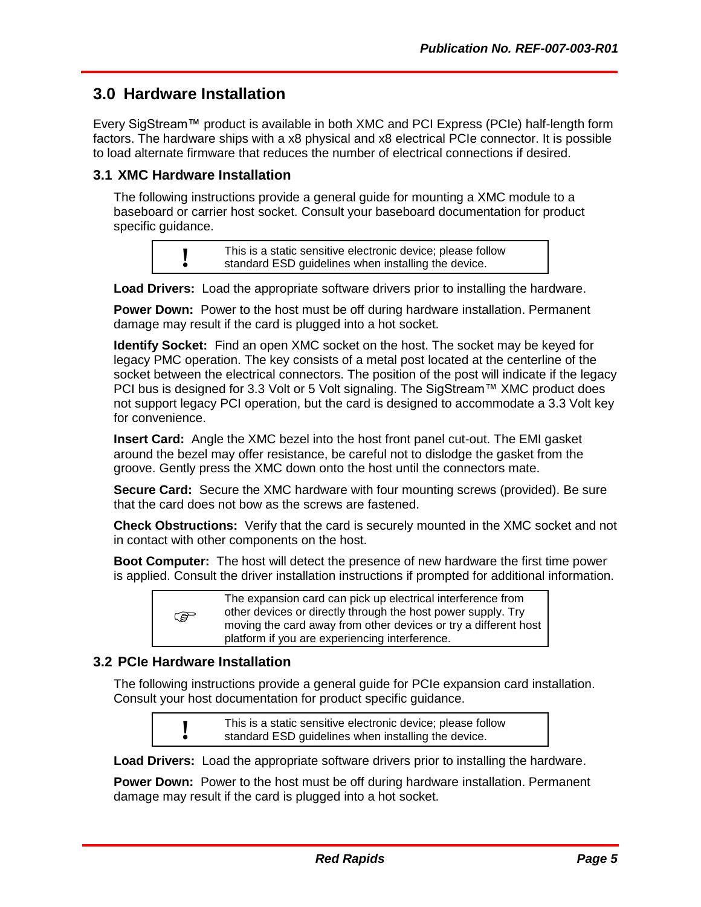### <span id="page-8-0"></span>**3.0 Hardware Installation**

Every SigStream™ product is available in both XMC and PCI Express (PCIe) half-length form factors. The hardware ships with a x8 physical and x8 electrical PCIe connector. It is possible to load alternate firmware that reduces the number of electrical connections if desired.

#### <span id="page-8-1"></span>**3.1 XMC Hardware Installation**

The following instructions provide a general guide for mounting a XMC module to a baseboard or carrier host socket. Consult your baseboard documentation for product specific guidance.

> **!** This is a static sensitive electronic device; please follow standard ESD guidelines when installing the device.

**Load Drivers:** Load the appropriate software drivers prior to installing the hardware.

**Power Down:** Power to the host must be off during hardware installation. Permanent damage may result if the card is plugged into a hot socket.

**Identify Socket:** Find an open XMC socket on the host. The socket may be keyed for legacy PMC operation. The key consists of a metal post located at the centerline of the socket between the electrical connectors. The position of the post will indicate if the legacy PCI bus is designed for 3.3 Volt or 5 Volt signaling. The SigStream™ XMC product does not support legacy PCI operation, but the card is designed to accommodate a 3.3 Volt key for convenience.

**Insert Card:** Angle the XMC bezel into the host front panel cut-out. The EMI gasket around the bezel may offer resistance, be careful not to dislodge the gasket from the groove. Gently press the XMC down onto the host until the connectors mate.

**Secure Card:** Secure the XMC hardware with four mounting screws (provided). Be sure that the card does not bow as the screws are fastened.

**Check Obstructions:** Verify that the card is securely mounted in the XMC socket and not in contact with other components on the host.

**Boot Computer:** The host will detect the presence of new hardware the first time power is applied. Consult the driver installation instructions if prompted for additional information.

| <b>PED</b> | The expansion card can pick up electrical interference from<br>other devices or directly through the host power supply. Try<br>moving the card away from other devices or try a different host<br>platform if you are experiencing interference. |
|------------|--------------------------------------------------------------------------------------------------------------------------------------------------------------------------------------------------------------------------------------------------|
|------------|--------------------------------------------------------------------------------------------------------------------------------------------------------------------------------------------------------------------------------------------------|

#### <span id="page-8-2"></span>**3.2 PCIe Hardware Installation**

The following instructions provide a general guide for PCIe expansion card installation. Consult your host documentation for product specific guidance.

|           | This is a static sensitive electronic device; please follow |
|-----------|-------------------------------------------------------------|
| $\bullet$ | standard ESD guidelines when installing the device.         |

**Load Drivers:** Load the appropriate software drivers prior to installing the hardware.

**Power Down:** Power to the host must be off during hardware installation. Permanent damage may result if the card is plugged into a hot socket.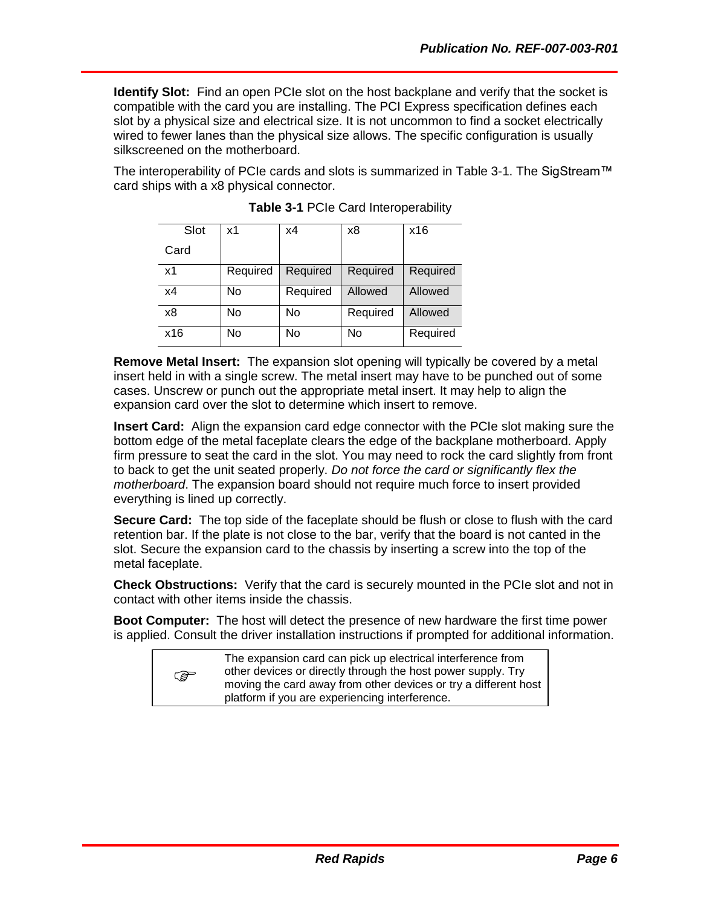**Identify Slot:** Find an open PCIe slot on the host backplane and verify that the socket is compatible with the card you are installing. The PCI Express specification defines each slot by a physical size and electrical size. It is not uncommon to find a socket electrically wired to fewer lanes than the physical size allows. The specific configuration is usually silkscreened on the motherboard.

<span id="page-9-0"></span>The interoperability of PCIe cards and slots is summarized in [Table 3-1.](#page-9-0) The SigStream™ card ships with a x8 physical connector.

| Slot           | х1       | x4       | х8       | x16      |
|----------------|----------|----------|----------|----------|
| Card           |          |          |          |          |
| x <sub>1</sub> | Required | Required | Required | Required |
| x4             | No       | Required | Allowed  | Allowed  |
| x8             | No       | No       | Required | Allowed  |
| x16            | No       | No       | No       | Required |

|  |  | Table 3-1 PCIe Card Interoperability |
|--|--|--------------------------------------|
|  |  |                                      |

**Remove Metal Insert:** The expansion slot opening will typically be covered by a metal insert held in with a single screw. The metal insert may have to be punched out of some cases. Unscrew or punch out the appropriate metal insert. It may help to align the expansion card over the slot to determine which insert to remove.

**Insert Card:** Align the expansion card edge connector with the PCIe slot making sure the bottom edge of the metal faceplate clears the edge of the backplane motherboard. Apply firm pressure to seat the card in the slot. You may need to rock the card slightly from front to back to get the unit seated properly. *Do not force the card or significantly flex the motherboard*. The expansion board should not require much force to insert provided everything is lined up correctly.

**Secure Card:** The top side of the faceplate should be flush or close to flush with the card retention bar. If the plate is not close to the bar, verify that the board is not canted in the slot. Secure the expansion card to the chassis by inserting a screw into the top of the metal faceplate.

**Check Obstructions:** Verify that the card is securely mounted in the PCIe slot and not in contact with other items inside the chassis.

**Boot Computer:** The host will detect the presence of new hardware the first time power is applied. Consult the driver installation instructions if prompted for additional information.

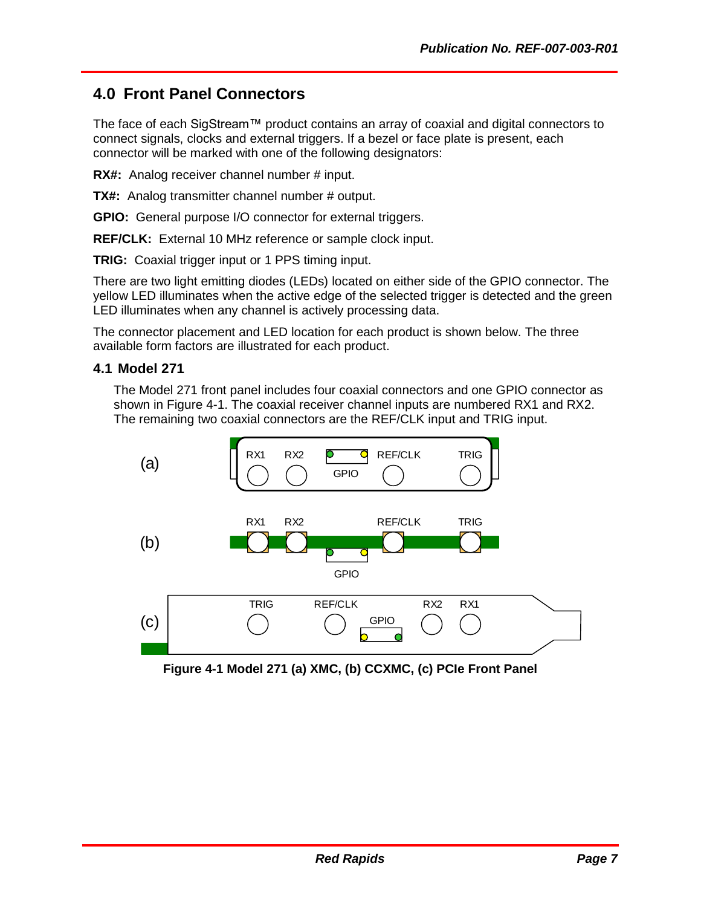## <span id="page-10-0"></span>**4.0 Front Panel Connectors**

The face of each SigStream™ product contains an array of coaxial and digital connectors to connect signals, clocks and external triggers. If a bezel or face plate is present, each connector will be marked with one of the following designators:

**RX#:** Analog receiver channel number # input.

**TX#:** Analog transmitter channel number # output.

**GPIO:** General purpose I/O connector for external triggers.

**REF/CLK:** External 10 MHz reference or sample clock input.

**TRIG:** Coaxial trigger input or 1 PPS timing input.

There are two light emitting diodes (LEDs) located on either side of the GPIO connector. The yellow LED illuminates when the active edge of the selected trigger is detected and the green LED illuminates when any channel is actively processing data.

The connector placement and LED location for each product is shown below. The three available form factors are illustrated for each product.

#### <span id="page-10-1"></span>**4.1 Model 271**

The Model 271 front panel includes four coaxial connectors and one GPIO connector as shown in [Figure 4-1.](#page-10-2) The coaxial receiver channel inputs are numbered RX1 and RX2. The remaining two coaxial connectors are the REF/CLK input and TRIG input.



<span id="page-10-2"></span>**Figure 4-1 Model 271 (a) XMC, (b) CCXMC, (c) PCIe Front Panel**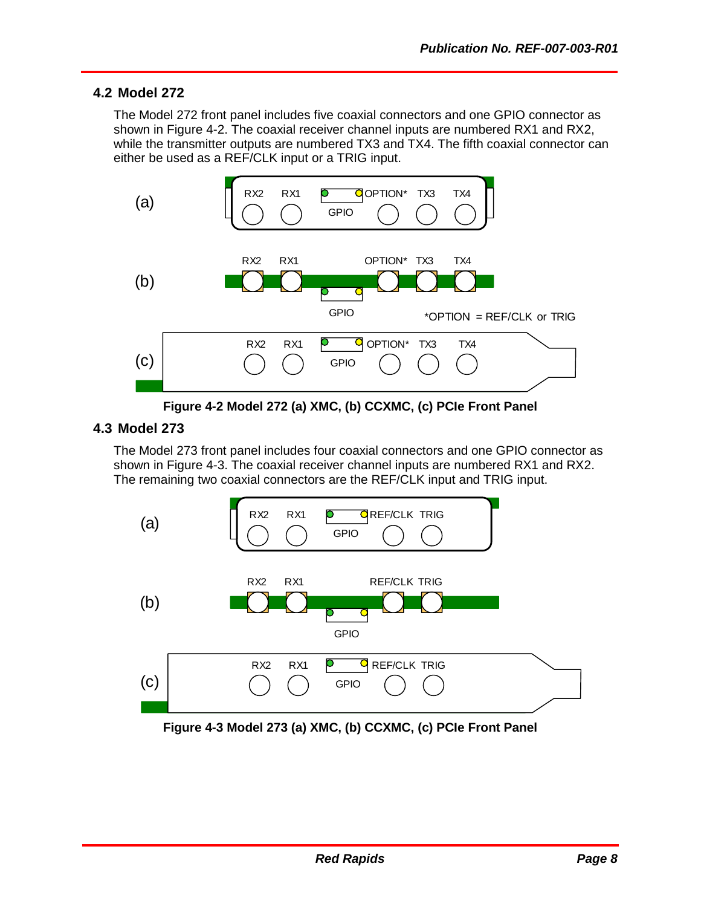#### <span id="page-11-0"></span>**4.2 Model 272**

The Model 272 front panel includes five coaxial connectors and one GPIO connector as shown in [Figure 4-2.](#page-11-2) The coaxial receiver channel inputs are numbered RX1 and RX2, while the transmitter outputs are numbered TX3 and TX4. The fifth coaxial connector can either be used as a REF/CLK input or a TRIG input.



**Figure 4-2 Model 272 (a) XMC, (b) CCXMC, (c) PCIe Front Panel**

#### <span id="page-11-2"></span><span id="page-11-1"></span>**4.3 Model 273**

The Model 273 front panel includes four coaxial connectors and one GPIO connector as shown in [Figure 4-3.](#page-11-3) The coaxial receiver channel inputs are numbered RX1 and RX2. The remaining two coaxial connectors are the REF/CLK input and TRIG input.



<span id="page-11-3"></span>**Figure 4-3 Model 273 (a) XMC, (b) CCXMC, (c) PCIe Front Panel**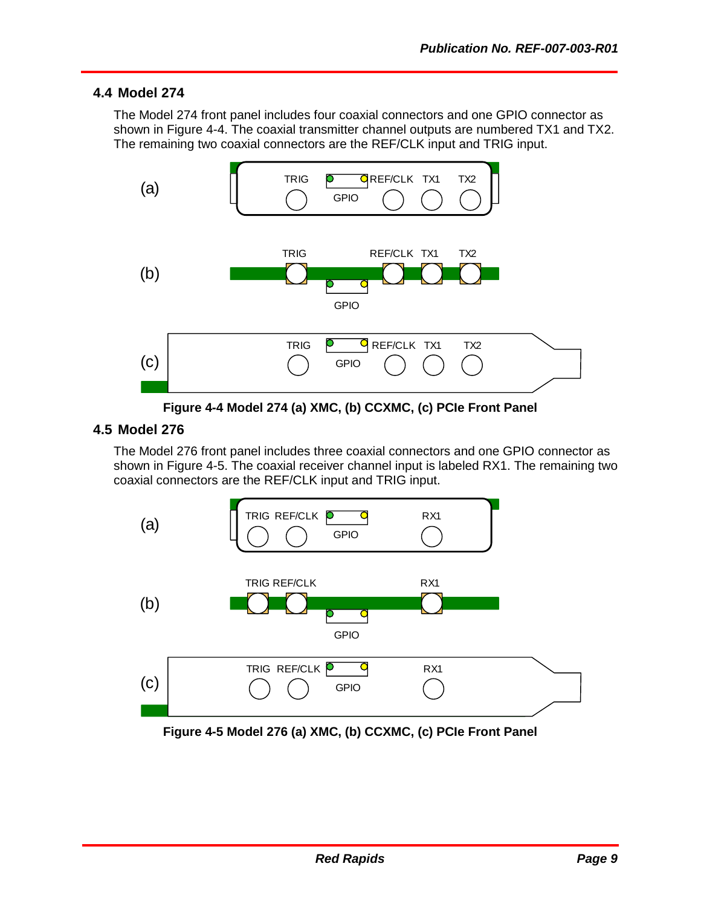#### <span id="page-12-0"></span>**4.4 Model 274**

The Model 274 front panel includes four coaxial connectors and one GPIO connector as shown in [Figure 4-4.](#page-12-2) The coaxial transmitter channel outputs are numbered TX1 and TX2. The remaining two coaxial connectors are the REF/CLK input and TRIG input.



**Figure 4-4 Model 274 (a) XMC, (b) CCXMC, (c) PCIe Front Panel**

#### <span id="page-12-2"></span><span id="page-12-1"></span>**4.5 Model 276**

The Model 276 front panel includes three coaxial connectors and one GPIO connector as shown in [Figure 4-5.](#page-12-3) The coaxial receiver channel input is labeled RX1. The remaining two coaxial connectors are the REF/CLK input and TRIG input.



<span id="page-12-3"></span>**Figure 4-5 Model 276 (a) XMC, (b) CCXMC, (c) PCIe Front Panel**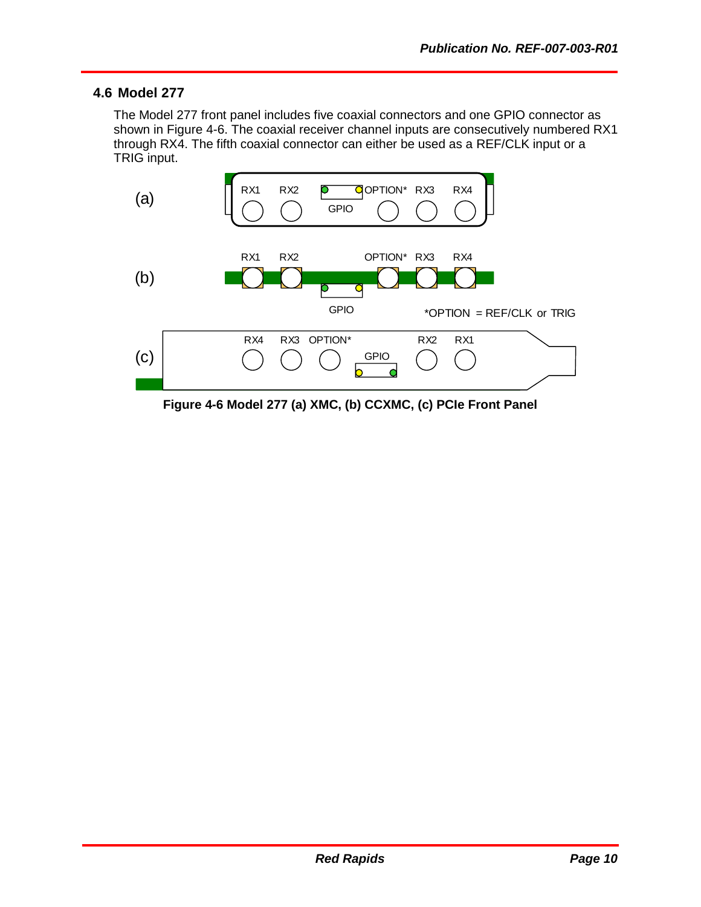#### <span id="page-13-0"></span>**4.6 Model 277**

The Model 277 front panel includes five coaxial connectors and one GPIO connector as shown in [Figure 4-6.](#page-13-1) The coaxial receiver channel inputs are consecutively numbered RX1 through RX4. The fifth coaxial connector can either be used as a REF/CLK input or a TRIG input.



<span id="page-13-1"></span>**Figure 4-6 Model 277 (a) XMC, (b) CCXMC, (c) PCIe Front Panel**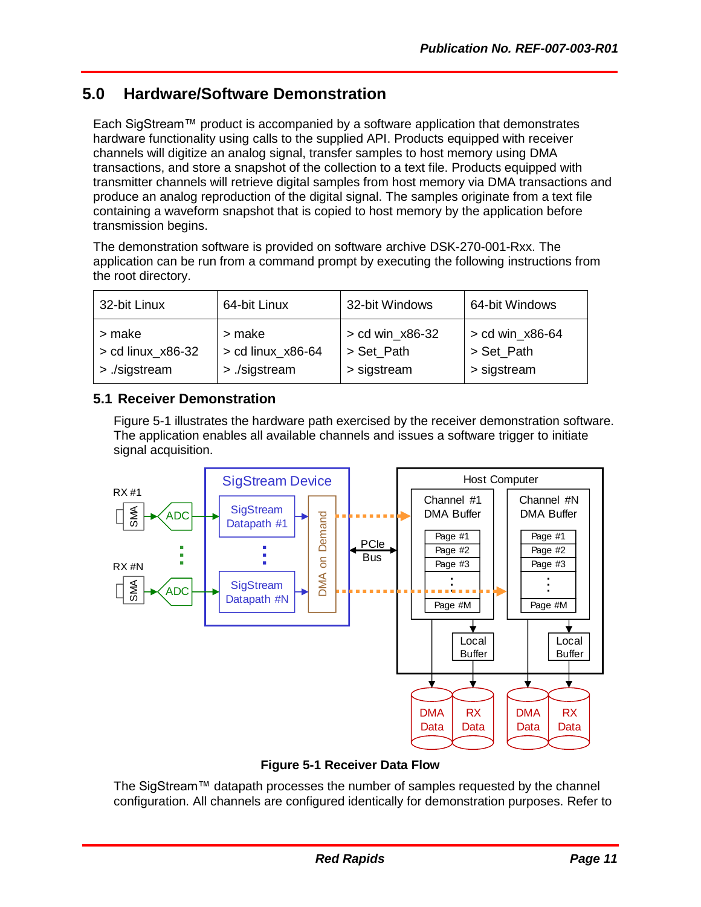## <span id="page-14-0"></span>**5.0 Hardware/Software Demonstration**

Each SigStream™ product is accompanied by a software application that demonstrates hardware functionality using calls to the supplied API. Products equipped with receiver channels will digitize an analog signal, transfer samples to host memory using DMA transactions, and store a snapshot of the collection to a text file. Products equipped with transmitter channels will retrieve digital samples from host memory via DMA transactions and produce an analog reproduction of the digital signal. The samples originate from a text file containing a waveform snapshot that is copied to host memory by the application before transmission begins.

The demonstration software is provided on software archive DSK-270-001-Rxx. The application can be run from a command prompt by executing the following instructions from the root directory.

| 32-bit Linux        | 64-bit Linux      | 32-bit Windows    | 64-bit Windows  |
|---------------------|-------------------|-------------------|-----------------|
| > make              | > make            | $>$ cd win_x86-32 | > cd win_x86-64 |
| $>$ cd linux_x86-32 | > cd linux_x86-64 | > Set_Path        | > Set Path      |
| > ./sigstream       | > /sigstream      | > sigstream       | > sigstream     |

#### <span id="page-14-1"></span>**5.1 Receiver Demonstration**

[Figure 5-1](#page-14-2) illustrates the hardware path exercised by the receiver demonstration software. The application enables all available channels and issues a software trigger to initiate signal acquisition.



**Figure 5-1 Receiver Data Flow**

<span id="page-14-2"></span>The SigStream™ datapath processes the number of samples requested by the channel configuration. All channels are configured identically for demonstration purposes. Refer to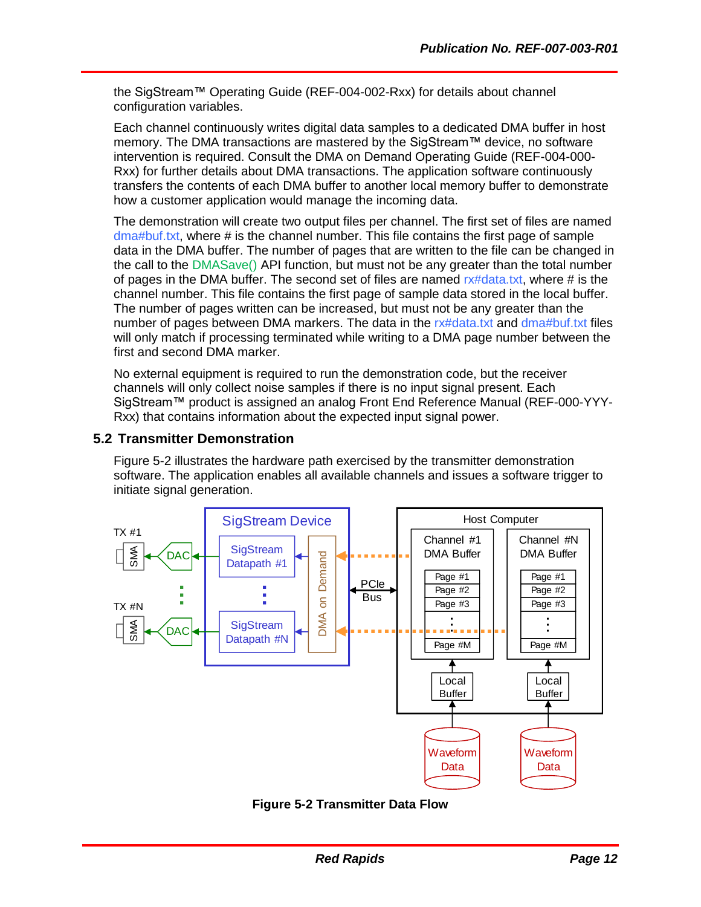the SigStream™ Operating Guide (REF-004-002-Rxx) for details about channel configuration variables.

Each channel continuously writes digital data samples to a dedicated DMA buffer in host memory. The DMA transactions are mastered by the SigStream™ device, no software intervention is required. Consult the DMA on Demand Operating Guide (REF-004-000- Rxx) for further details about DMA transactions. The application software continuously transfers the contents of each DMA buffer to another local memory buffer to demonstrate how a customer application would manage the incoming data.

The demonstration will create two output files per channel. The first set of files are named dma#buf.txt, where # is the channel number. This file contains the first page of sample data in the DMA buffer. The number of pages that are written to the file can be changed in the call to the DMASave() API function, but must not be any greater than the total number of pages in the DMA buffer. The second set of files are named rx#data.txt, where # is the channel number. This file contains the first page of sample data stored in the local buffer. The number of pages written can be increased, but must not be any greater than the number of pages between DMA markers. The data in the rx#data.txt and dma#buf.txt files will only match if processing terminated while writing to a DMA page number between the first and second DMA marker.

No external equipment is required to run the demonstration code, but the receiver channels will only collect noise samples if there is no input signal present. Each SigStream™ product is assigned an analog Front End Reference Manual (REF-000-YYY-Rxx) that contains information about the expected input signal power.

#### <span id="page-15-0"></span>**5.2 Transmitter Demonstration**

[Figure 5-2](#page-15-1) illustrates the hardware path exercised by the transmitter demonstration software. The application enables all available channels and issues a software trigger to initiate signal generation.



<span id="page-15-1"></span>**Figure 5-2 Transmitter Data Flow**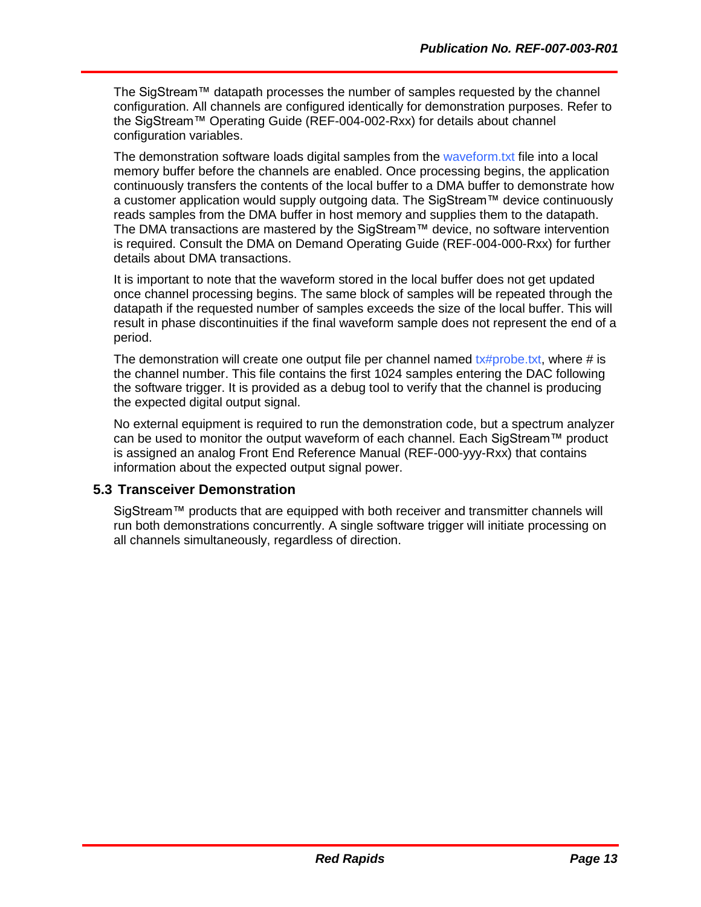The SigStream™ datapath processes the number of samples requested by the channel configuration. All channels are configured identically for demonstration purposes. Refer to the SigStream™ Operating Guide (REF-004-002-Rxx) for details about channel configuration variables.

The demonstration software loads digital samples from the waveform.txt file into a local memory buffer before the channels are enabled. Once processing begins, the application continuously transfers the contents of the local buffer to a DMA buffer to demonstrate how a customer application would supply outgoing data. The SigStream™ device continuously reads samples from the DMA buffer in host memory and supplies them to the datapath. The DMA transactions are mastered by the SigStream™ device, no software intervention is required. Consult the DMA on Demand Operating Guide (REF-004-000-Rxx) for further details about DMA transactions.

It is important to note that the waveform stored in the local buffer does not get updated once channel processing begins. The same block of samples will be repeated through the datapath if the requested number of samples exceeds the size of the local buffer. This will result in phase discontinuities if the final waveform sample does not represent the end of a period.

The demonstration will create one output file per channel named  $tx\#probe.txt$ , where # is the channel number. This file contains the first 1024 samples entering the DAC following the software trigger. It is provided as a debug tool to verify that the channel is producing the expected digital output signal.

No external equipment is required to run the demonstration code, but a spectrum analyzer can be used to monitor the output waveform of each channel. Each SigStream™ product is assigned an analog Front End Reference Manual (REF-000-yyy-Rxx) that contains information about the expected output signal power.

#### <span id="page-16-0"></span>**5.3 Transceiver Demonstration**

SigStream™ products that are equipped with both receiver and transmitter channels will run both demonstrations concurrently. A single software trigger will initiate processing on all channels simultaneously, regardless of direction.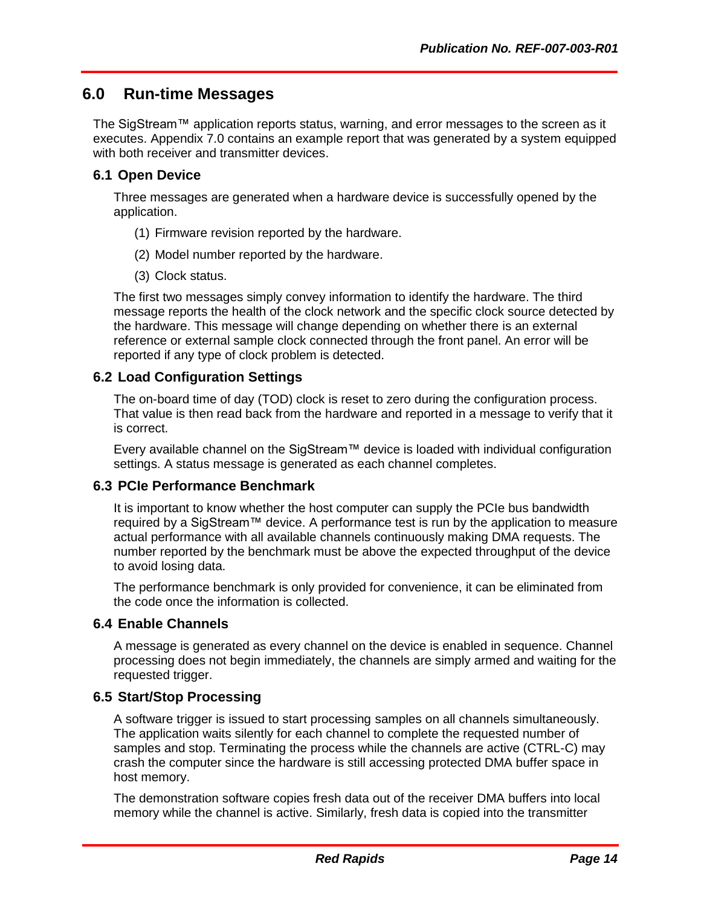## <span id="page-17-0"></span>**6.0 Run-time Messages**

The SigStream™ application reports status, warning, and error messages to the screen as it executes. Appendix [7.0](#page-19-0) contains an example report that was generated by a system equipped with both receiver and transmitter devices.

#### <span id="page-17-1"></span>**6.1 Open Device**

Three messages are generated when a hardware device is successfully opened by the application.

- (1) Firmware revision reported by the hardware.
- (2) Model number reported by the hardware.
- (3) Clock status.

The first two messages simply convey information to identify the hardware. The third message reports the health of the clock network and the specific clock source detected by the hardware. This message will change depending on whether there is an external reference or external sample clock connected through the front panel. An error will be reported if any type of clock problem is detected.

#### <span id="page-17-2"></span>**6.2 Load Configuration Settings**

The on-board time of day (TOD) clock is reset to zero during the configuration process. That value is then read back from the hardware and reported in a message to verify that it is correct.

Every available channel on the SigStream™ device is loaded with individual configuration settings. A status message is generated as each channel completes.

#### <span id="page-17-3"></span>**6.3 PCIe Performance Benchmark**

It is important to know whether the host computer can supply the PCIe bus bandwidth required by a SigStream™ device. A performance test is run by the application to measure actual performance with all available channels continuously making DMA requests. The number reported by the benchmark must be above the expected throughput of the device to avoid losing data.

The performance benchmark is only provided for convenience, it can be eliminated from the code once the information is collected.

#### <span id="page-17-4"></span>**6.4 Enable Channels**

A message is generated as every channel on the device is enabled in sequence. Channel processing does not begin immediately, the channels are simply armed and waiting for the requested trigger.

#### <span id="page-17-5"></span>**6.5 Start/Stop Processing**

A software trigger is issued to start processing samples on all channels simultaneously. The application waits silently for each channel to complete the requested number of samples and stop. Terminating the process while the channels are active (CTRL-C) may crash the computer since the hardware is still accessing protected DMA buffer space in host memory.

The demonstration software copies fresh data out of the receiver DMA buffers into local memory while the channel is active. Similarly, fresh data is copied into the transmitter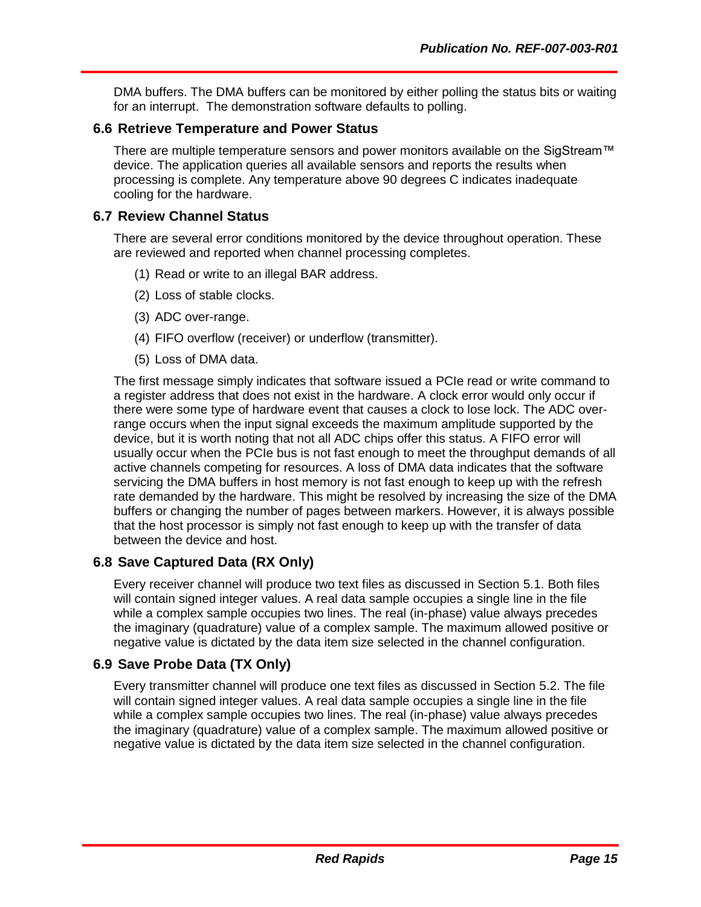DMA buffers. The DMA buffers can be monitored by either polling the status bits or waiting for an interrupt. The demonstration software defaults to polling.

#### <span id="page-18-0"></span>**6.6 Retrieve Temperature and Power Status**

There are multiple temperature sensors and power monitors available on the SigStream™ device. The application queries all available sensors and reports the results when processing is complete. Any temperature above 90 degrees C indicates inadequate cooling for the hardware.

#### <span id="page-18-1"></span>**6.7 Review Channel Status**

There are several error conditions monitored by the device throughout operation. These are reviewed and reported when channel processing completes.

- (1) Read or write to an illegal BAR address.
- (2) Loss of stable clocks.
- (3) ADC over-range.
- (4) FIFO overflow (receiver) or underflow (transmitter).
- (5) Loss of DMA data.

The first message simply indicates that software issued a PCIe read or write command to a register address that does not exist in the hardware. A clock error would only occur if there were some type of hardware event that causes a clock to lose lock. The ADC overrange occurs when the input signal exceeds the maximum amplitude supported by the device, but it is worth noting that not all ADC chips offer this status. A FIFO error will usually occur when the PCIe bus is not fast enough to meet the throughput demands of all active channels competing for resources. A loss of DMA data indicates that the software servicing the DMA buffers in host memory is not fast enough to keep up with the refresh rate demanded by the hardware. This might be resolved by increasing the size of the DMA buffers or changing the number of pages between markers. However, it is always possible that the host processor is simply not fast enough to keep up with the transfer of data between the device and host.

#### <span id="page-18-2"></span>**6.8 Save Captured Data (RX Only)**

Every receiver channel will produce two text files as discussed in Section [5.1.](#page-14-1) Both files will contain signed integer values. A real data sample occupies a single line in the file while a complex sample occupies two lines. The real (in-phase) value always precedes the imaginary (quadrature) value of a complex sample. The maximum allowed positive or negative value is dictated by the data item size selected in the channel configuration.

#### <span id="page-18-3"></span>**6.9 Save Probe Data (TX Only)**

Every transmitter channel will produce one text files as discussed in Section [5.2.](#page-15-0) The file will contain signed integer values. A real data sample occupies a single line in the file while a complex sample occupies two lines. The real (in-phase) value always precedes the imaginary (quadrature) value of a complex sample. The maximum allowed positive or negative value is dictated by the data item size selected in the channel configuration.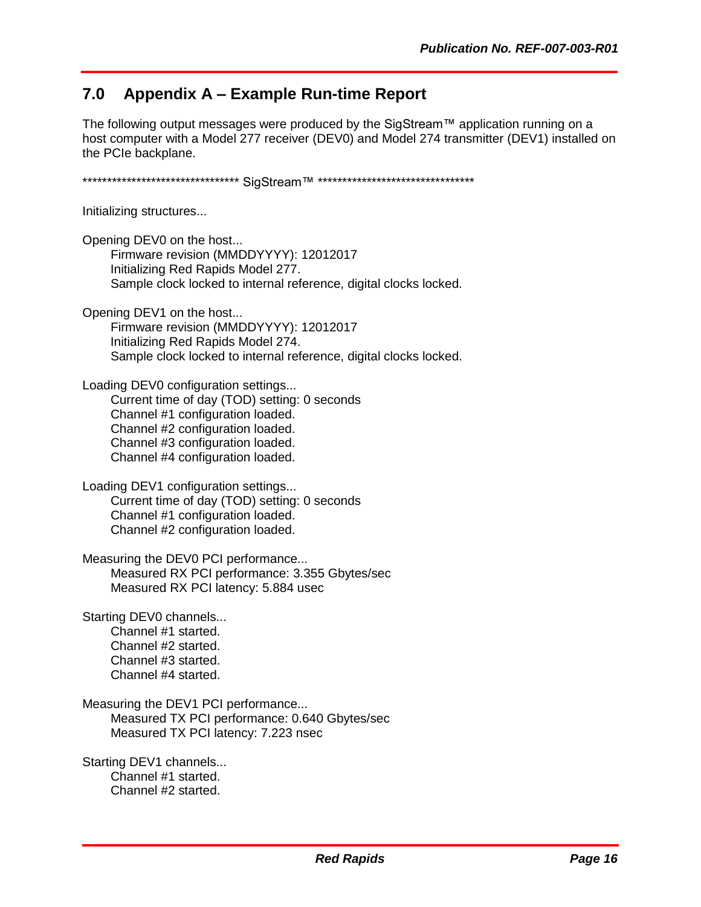## <span id="page-19-0"></span>**7.0 Appendix A – Example Run-time Report**

The following output messages were produced by the SigStream™ application running on a host computer with a Model 277 receiver (DEV0) and Model 274 transmitter (DEV1) installed on the PCIe backplane.

\*\*\*\*\*\*\*\*\*\*\*\*\*\*\*\*\*\*\*\*\*\*\*\*\*\*\*\*\*\*\*\*\* SigStream™ \*\*\*\*\*\*\*\*\*\*\*\*\*\*\*\*\*\*\*\*\*\*\*\*\*\*\*\*\*\*\*\*\*\*

Initializing structures...

Opening DEV0 on the host... Firmware revision (MMDDYYYY): 12012017 Initializing Red Rapids Model 277. Sample clock locked to internal reference, digital clocks locked.

Opening DEV1 on the host...

 Firmware revision (MMDDYYYY): 12012017 Initializing Red Rapids Model 274. Sample clock locked to internal reference, digital clocks locked.

Loading DEV0 configuration settings...

 Current time of day (TOD) setting: 0 seconds Channel #1 configuration loaded. Channel #2 configuration loaded. Channel #3 configuration loaded. Channel #4 configuration loaded.

Loading DEV1 configuration settings... Current time of day (TOD) setting: 0 seconds Channel #1 configuration loaded. Channel #2 configuration loaded.

Measuring the DEV0 PCI performance... Measured RX PCI performance: 3.355 Gbytes/sec Measured RX PCI latency: 5.884 usec

Starting DEV0 channels...

 Channel #1 started. Channel #2 started. Channel #3 started. Channel #4 started.

Measuring the DEV1 PCI performance... Measured TX PCI performance: 0.640 Gbytes/sec Measured TX PCI latency: 7.223 nsec

Starting DEV1 channels... Channel #1 started. Channel #2 started.